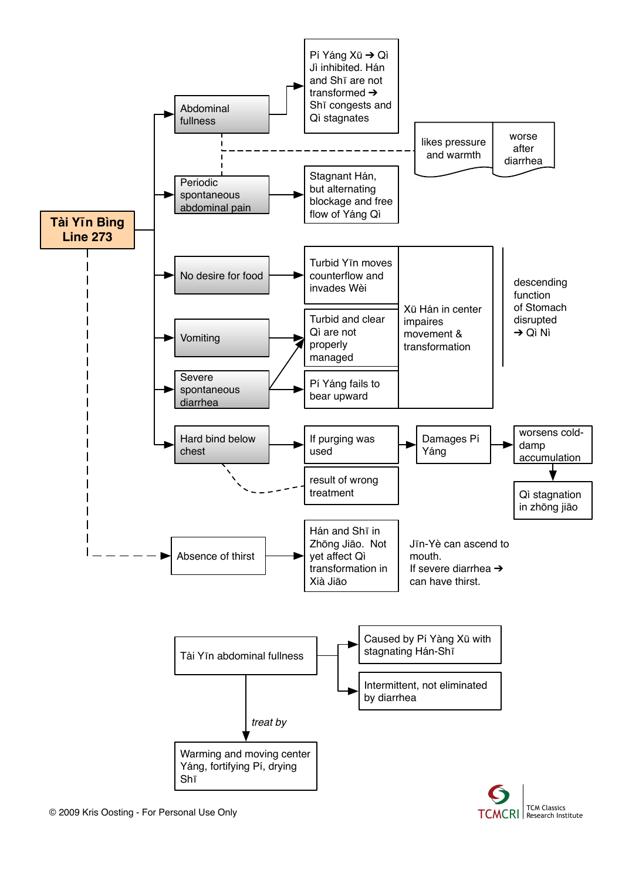

TCMCRI | Research Institute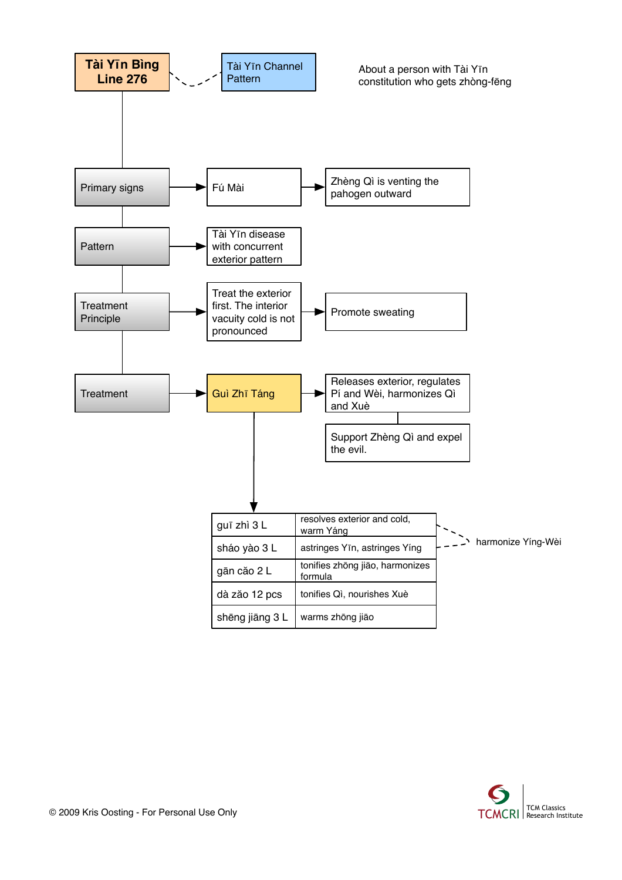

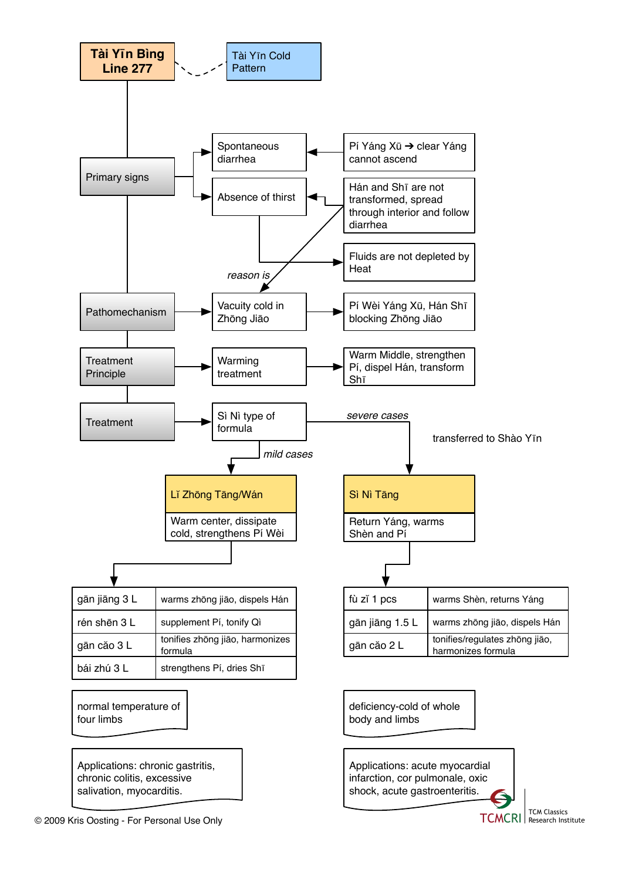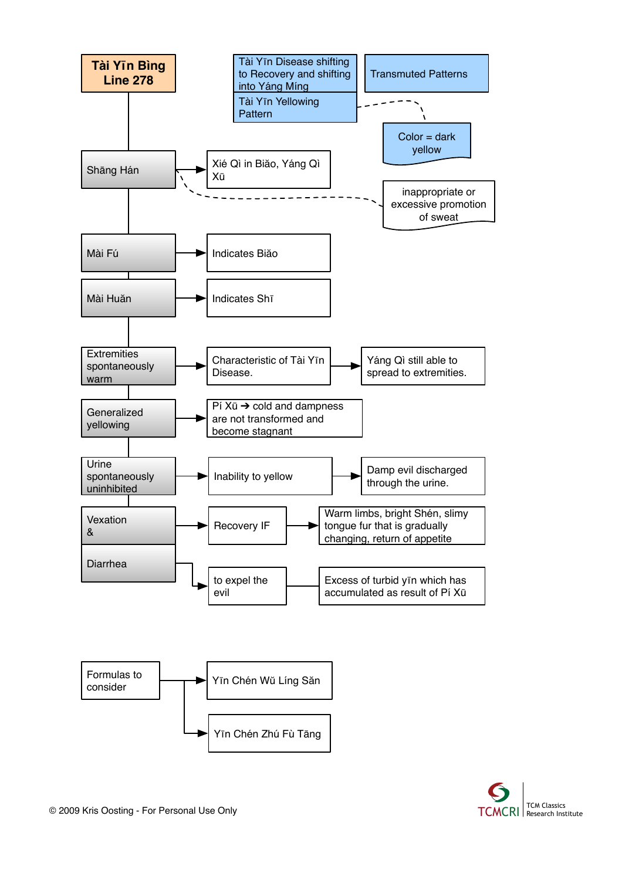

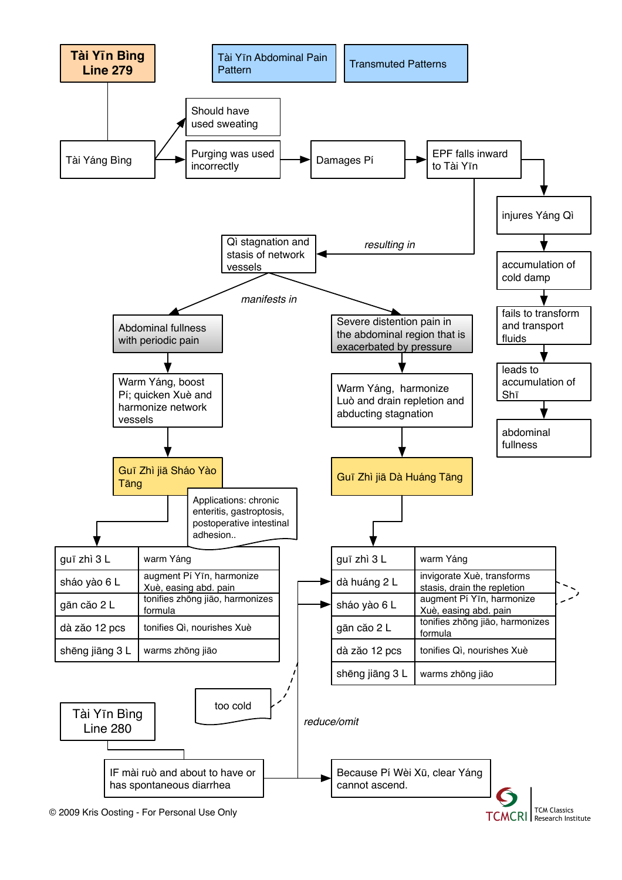

© 2009 Kris Oosting - For Personal Use Only TCM Classics CONSERVED FOR Classics

**TCMCRI** Research Institute